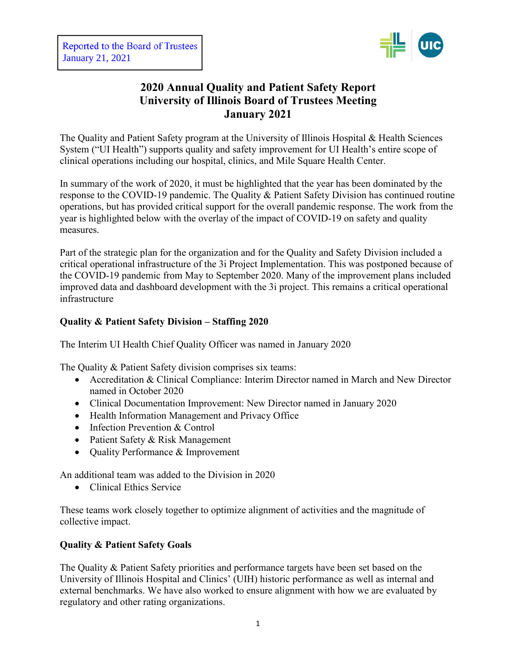

# **2020 Annual Quality and Patient Safety Report University of Illinois Board of Trustees Meeting January 2021**

The Quality and Patient Safety program at the University of Illinois Hospital & Health Sciences System ("UI Health") supports quality and safety improvement for UI Health's entire scope of clinical operations including our hospital, clinics, and Mile Square Health Center.

In summary of the work of 2020, it must be highlighted that the year has been dominated by the response to the COVID-19 pandemic. The Quality & Patient Safety Division has continued routine operations, but has provided critical support for the overall pandemic response. The work from the year is highlighted below with the overlay of the impact of COVID-19 on safety and quality measures.

Part of the strategic plan for the organization and for the Quality and Safety Division included a critical operational infrastructure of the 3i Project Implementation. This was postponed because of the COVID-19 pandemic from May to September 2020. Many of the improvement plans included improved data and dashboard development with the 3i project. This remains a critical operational infrastructure

## **Quality & Patient Safety Division – Staffing 2020**

The Interim UI Health Chief Quality Officer was named in January 2020

The Quality & Patient Safety division comprises six teams:

- Accreditation & Clinical Compliance: Interim Director named in March and New Director named in October 2020
- Clinical Documentation Improvement: New Director named in January 2020
- Health Information Management and Privacy Office
- Infection Prevention & Control
- Patient Safety & Risk Management
- Quality Performance & Improvement

An additional team was added to the Division in 2020

• Clinical Ethics Service

These teams work closely together to optimize alignment of activities and the magnitude of collective impact.

### **Quality & Patient Safety Goals**

The Quality & Patient Safety priorities and performance targets have been set based on the University of Illinois Hospital and Clinics' (UIH) historic performance as well as internal and external benchmarks. We have also worked to ensure alignment with how we are evaluated by regulatory and other rating organizations.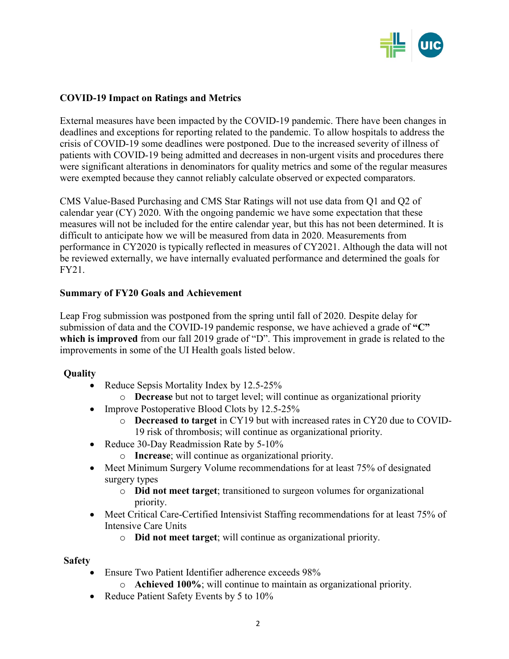

### **COVID-19 Impact on Ratings and Metrics**

External measures have been impacted by the COVID-19 pandemic. There have been changes in deadlines and exceptions for reporting related to the pandemic. To allow hospitals to address the crisis of COVID-19 some deadlines were postponed. Due to the increased severity of illness of patients with COVID-19 being admitted and decreases in non-urgent visits and procedures there were significant alterations in denominators for quality metrics and some of the regular measures were exempted because they cannot reliably calculate observed or expected comparators.

CMS Value-Based Purchasing and CMS Star Ratings will not use data from Q1 and Q2 of calendar year (CY) 2020. With the ongoing pandemic we have some expectation that these measures will not be included for the entire calendar year, but this has not been determined. It is difficult to anticipate how we will be measured from data in 2020. Measurements from performance in CY2020 is typically reflected in measures of CY2021. Although the data will not be reviewed externally, we have internally evaluated performance and determined the goals for FY21.

### **Summary of FY20 Goals and Achievement**

Leap Frog submission was postponed from the spring until fall of 2020. Despite delay for submission of data and the COVID-19 pandemic response, we have achieved a grade of **"C" which is improved** from our fall 2019 grade of "D". This improvement in grade is related to the improvements in some of the UI Health goals listed below.

### **Quality**

- Reduce Sepsis Mortality Index by 12.5-25%
	- o **Decrease** but not to target level; will continue as organizational priority
- Improve Postoperative Blood Clots by 12.5-25%
	- o **Decreased to target** in CY19 but with increased rates in CY20 due to COVID-19 risk of thrombosis; will continue as organizational priority.
- Reduce 30-Day Readmission Rate by 5-10%
	- o **Increase**; will continue as organizational priority.
- Meet Minimum Surgery Volume recommendations for at least 75% of designated surgery types
	- o **Did not meet target**; transitioned to surgeon volumes for organizational priority.
- Meet Critical Care-Certified Intensivist Staffing recommendations for at least 75% of Intensive Care Units
	- o **Did not meet target**; will continue as organizational priority.

#### **Safety**

- Ensure Two Patient Identifier adherence exceeds 98%
	- o **Achieved 100%**; will continue to maintain as organizational priority.
- Reduce Patient Safety Events by 5 to 10%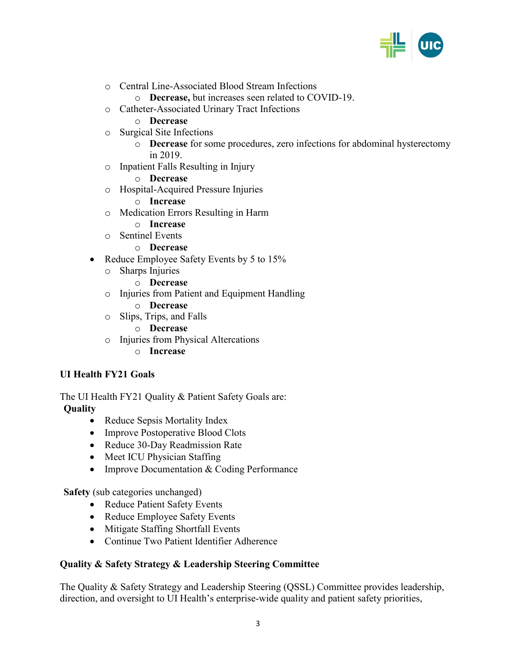

- o Central Line-Associated Blood Stream Infections
	- o **Decrease,** but increases seen related to COVID-19.
- o Catheter-Associated Urinary Tract Infections
	- o **Decrease**
- o Surgical Site Infections
	- o **Decrease** for some procedures, zero infections for abdominal hysterectomy in 2019.
- o Inpatient Falls Resulting in Injury
	- o **Decrease**
- o Hospital-Acquired Pressure Injuries
	- o **Increase**
- o Medication Errors Resulting in Harm
	- o **Increase**
- o Sentinel Events
	- o **Decrease**
- Reduce Employee Safety Events by 5 to 15%
	- o Sharps Injuries
		- o **Decrease**
	- o Injuries from Patient and Equipment Handling
		- o **Decrease**
	- o Slips, Trips, and Falls
		- o **Decrease**
	- o Injuries from Physical Altercations
		- o **Increase**

### **UI Health FY21 Goals**

The UI Health FY21 Quality & Patient Safety Goals are: **Quality**

- Reduce Sepsis Mortality Index
- Improve Postoperative Blood Clots
- Reduce 30-Day Readmission Rate
- Meet ICU Physician Staffing
- Improve Documentation & Coding Performance

**Safety** (sub categories unchanged)

- Reduce Patient Safety Events
- Reduce Employee Safety Events
- Mitigate Staffing Shortfall Events
- Continue Two Patient Identifier Adherence

#### **Quality & Safety Strategy & Leadership Steering Committee**

The Quality & Safety Strategy and Leadership Steering (QSSL) Committee provides leadership, direction, and oversight to UI Health's enterprise-wide quality and patient safety priorities,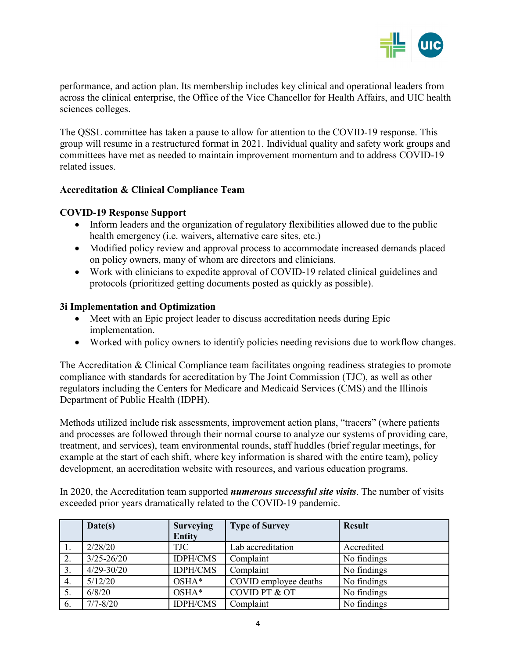

performance, and action plan. Its membership includes key clinical and operational leaders from across the clinical enterprise, the Office of the Vice Chancellor for Health Affairs, and UIC health sciences colleges.

The QSSL committee has taken a pause to allow for attention to the COVID-19 response. This group will resume in a restructured format in 2021. Individual quality and safety work groups and committees have met as needed to maintain improvement momentum and to address COVID-19 related issues.

### **Accreditation & Clinical Compliance Team**

### **COVID-19 Response Support**

- Inform leaders and the organization of regulatory flexibilities allowed due to the public health emergency (i.e. waivers, alternative care sites, etc.)
- Modified policy review and approval process to accommodate increased demands placed on policy owners, many of whom are directors and clinicians.
- Work with clinicians to expedite approval of COVID-19 related clinical guidelines and protocols (prioritized getting documents posted as quickly as possible).

### **3i Implementation and Optimization**

- Meet with an Epic project leader to discuss accreditation needs during Epic implementation.
- Worked with policy owners to identify policies needing revisions due to workflow changes.

The Accreditation & Clinical Compliance team facilitates ongoing readiness strategies to promote compliance with standards for accreditation by The Joint Commission (TJC), as well as other regulators including the Centers for Medicare and Medicaid Services (CMS) and the Illinois Department of Public Health (IDPH).

Methods utilized include risk assessments, improvement action plans, "tracers" (where patients and processes are followed through their normal course to analyze our systems of providing care, treatment, and services), team environmental rounds, staff huddles (brief regular meetings, for example at the start of each shift, where key information is shared with the entire team), policy development, an accreditation website with resources, and various education programs.

In 2020, the Accreditation team supported *numerous successful site visits*. The number of visits exceeded prior years dramatically related to the COVID-19 pandemic.

|     | Date(s)        | <b>Surveying</b> | <b>Type of Survey</b> | <b>Result</b> |
|-----|----------------|------------------|-----------------------|---------------|
|     |                | <b>Entity</b>    |                       |               |
| 1.  | 2/28/20        | TJC              | Lab accreditation     | Accredited    |
| 2.  | $3/25 - 26/20$ | <b>IDPH/CMS</b>  | Complaint             | No findings   |
| 3.  | $4/29 - 30/20$ | <b>IDPH/CMS</b>  | Complaint             | No findings   |
| 4.  | 5/12/20        | OSHA*            | COVID employee deaths | No findings   |
| 5.  | 6/8/20         | OSHA*            | COVID PT & OT         | No findings   |
| -6. | $7/7 - 8/20$   | <b>IDPH/CMS</b>  | Complaint             | No findings   |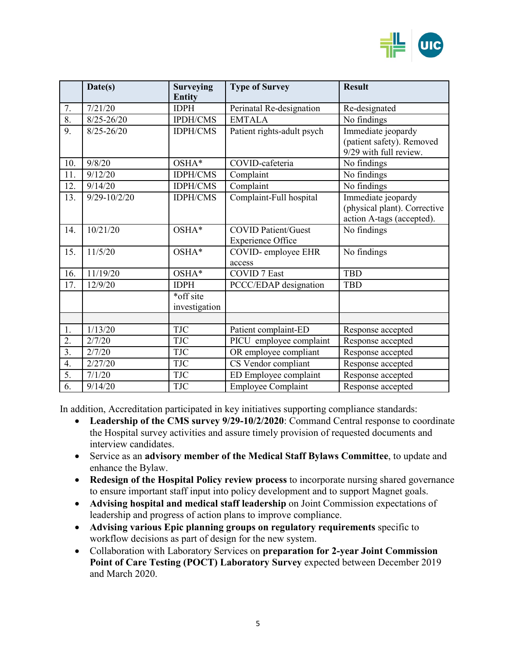

|                  | Date(s)          | <b>Surveying</b><br><b>Entity</b> | <b>Type of Survey</b>                                  | <b>Result</b>                                                                   |
|------------------|------------------|-----------------------------------|--------------------------------------------------------|---------------------------------------------------------------------------------|
| 7.               | 7/21/20          | <b>IDPH</b>                       | Perinatal Re-designation                               | Re-designated                                                                   |
| $\overline{8}$ . | $8/25 - 26/20$   | <b>IPDH/CMS</b>                   | <b>EMTALA</b>                                          | No findings                                                                     |
| 9.               | $8/25 - 26/20$   | <b>IDPH/CMS</b>                   | Patient rights-adult psych                             | Immediate jeopardy<br>(patient safety). Removed<br>9/29 with full review.       |
| 10.              | 9/8/20           | OSHA*                             | COVID-cafeteria                                        | No findings                                                                     |
| 11.              | 9/12/20          | <b>IDPH/CMS</b>                   | Complaint                                              | No findings                                                                     |
| 12.              | 9/14/20          | <b>IDPH/CMS</b>                   | Complaint                                              | No findings                                                                     |
| 13.              | $9/29 - 10/2/20$ | <b>IDPH/CMS</b>                   | Complaint-Full hospital                                | Immediate jeopardy<br>(physical plant). Corrective<br>action A-tags (accepted). |
| 14.              | 10/21/20         | OSHA*                             | <b>COVID Patient/Guest</b><br><b>Experience Office</b> | No findings                                                                     |
| 15.              | 11/5/20          | OSHA*                             | COVID-employee EHR<br>access                           | No findings                                                                     |
| 16.              | 11/19/20         | OSHA*                             | <b>COVID</b> 7 East                                    | <b>TBD</b>                                                                      |
| 17.              | 12/9/20          | <b>IDPH</b>                       | PCCC/EDAP designation                                  | <b>TBD</b>                                                                      |
|                  |                  | *off site<br>investigation        |                                                        |                                                                                 |
|                  |                  |                                   |                                                        |                                                                                 |
| 1.               | 1/13/20          | <b>TJC</b>                        | Patient complaint-ED                                   | Response accepted                                                               |
| $\overline{2}$ . | 2/7/20           | <b>TJC</b>                        | PICU employee complaint                                | Response accepted                                                               |
| $\overline{3}$ . | 2/7/20           | TJC                               | OR employee compliant                                  | Response accepted                                                               |
| 4.               | 2/27/20          | <b>TJC</b>                        | CS Vendor compliant                                    | Response accepted                                                               |
| 5.               | 7/1/20           | <b>TJC</b>                        | ED Employee complaint                                  | Response accepted                                                               |
| 6.               | 9/14/20          | <b>TJC</b>                        | <b>Employee Complaint</b>                              | Response accepted                                                               |

In addition, Accreditation participated in key initiatives supporting compliance standards:

- **Leadership of the CMS survey 9/29-10/2/2020**: Command Central response to coordinate the Hospital survey activities and assure timely provision of requested documents and interview candidates.
- Service as an **advisory member of the Medical Staff Bylaws Committee**, to update and enhance the Bylaw.
- **Redesign of the Hospital Policy review process** to incorporate nursing shared governance to ensure important staff input into policy development and to support Magnet goals.
- **Advising hospital and medical staff leadership** on Joint Commission expectations of leadership and progress of action plans to improve compliance.
- **Advising various Epic planning groups on regulatory requirements** specific to workflow decisions as part of design for the new system.
- Collaboration with Laboratory Services on **preparation for 2-year Joint Commission Point of Care Testing (POCT) Laboratory Survey** expected between December 2019 and March 2020.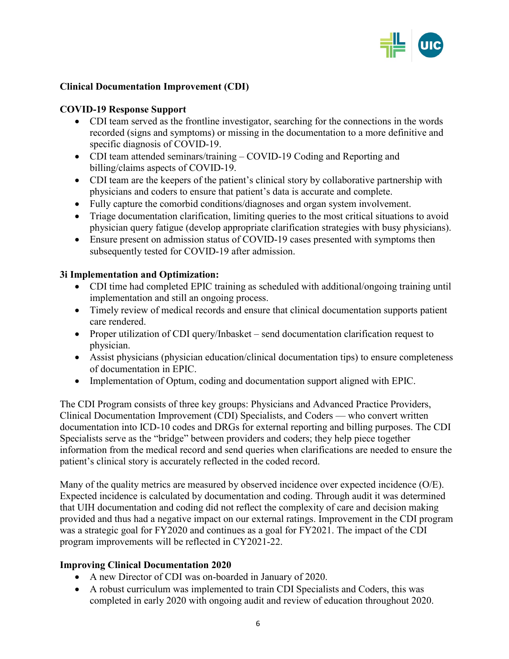

### **Clinical Documentation Improvement (CDI)**

#### **COVID-19 Response Support**

- CDI team served as the frontline investigator, searching for the connections in the words recorded (signs and symptoms) or missing in the documentation to a more definitive and specific diagnosis of COVID-19.
- CDI team attended seminars/training COVID-19 Coding and Reporting and billing/claims aspects of COVID-19.
- CDI team are the keepers of the patient's clinical story by collaborative partnership with physicians and coders to ensure that patient's data is accurate and complete.
- Fully capture the comorbid conditions/diagnoses and organ system involvement.
- Triage documentation clarification, limiting queries to the most critical situations to avoid physician query fatigue (develop appropriate clarification strategies with busy physicians).
- Ensure present on admission status of COVID-19 cases presented with symptoms then subsequently tested for COVID-19 after admission.

### **3i Implementation and Optimization:**

- CDI time had completed EPIC training as scheduled with additional/ongoing training until implementation and still an ongoing process.
- Timely review of medical records and ensure that clinical documentation supports patient care rendered.
- Proper utilization of CDI query/Inbasket send documentation clarification request to physician.
- Assist physicians (physician education/clinical documentation tips) to ensure completeness of documentation in EPIC.
- Implementation of Optum, coding and documentation support aligned with EPIC.

The CDI Program consists of three key groups: Physicians and Advanced Practice Providers, Clinical Documentation Improvement (CDI) Specialists, and Coders — who convert written documentation into ICD-10 codes and DRGs for external reporting and billing purposes. The CDI Specialists serve as the "bridge" between providers and coders; they help piece together information from the medical record and send queries when clarifications are needed to ensure the patient's clinical story is accurately reflected in the coded record.

Many of the quality metrics are measured by observed incidence over expected incidence (O/E). Expected incidence is calculated by documentation and coding. Through audit it was determined that UIH documentation and coding did not reflect the complexity of care and decision making provided and thus had a negative impact on our external ratings. Improvement in the CDI program was a strategic goal for FY2020 and continues as a goal for FY2021. The impact of the CDI program improvements will be reflected in CY2021-22.

### **Improving Clinical Documentation 2020**

- A new Director of CDI was on-boarded in January of 2020.
- A robust curriculum was implemented to train CDI Specialists and Coders, this was completed in early 2020 with ongoing audit and review of education throughout 2020.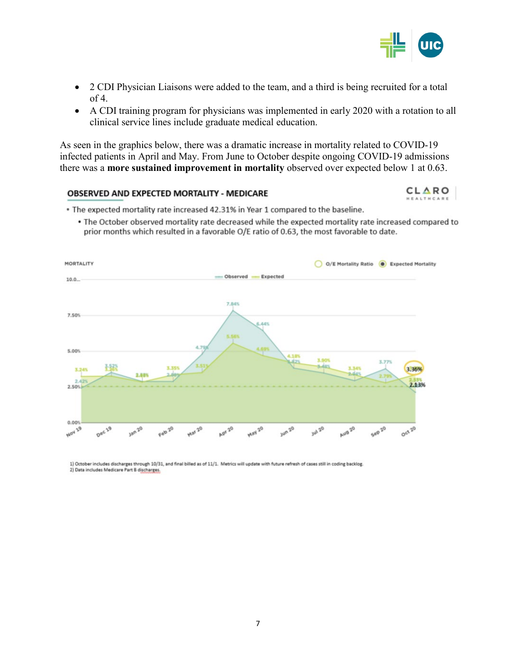

CLARO

- 2 CDI Physician Liaisons were added to the team, and a third is being recruited for a total of 4.
- A CDI training program for physicians was implemented in early 2020 with a rotation to all clinical service lines include graduate medical education.

As seen in the graphics below, there was a dramatic increase in mortality related to COVID-19 infected patients in April and May. From June to October despite ongoing COVID-19 admissions there was a **more sustained improvement in mortality** observed over expected below 1 at 0.63.

#### **OBSERVED AND EXPECTED MORTALITY - MEDICARE**

. The expected mortality rate increased 42.31% in Year 1 compared to the baseline.

• The October observed mortality rate decreased while the expected mortality rate increased compared to prior months which resulted in a favorable O/E ratio of 0.63, the most favorable to date.



1) October includes discharges through 10/31, and final billed as of 11/1. Metrics will update with future refresh of cases still in coding backlog. 2) Data includes Medicare Part B discharges.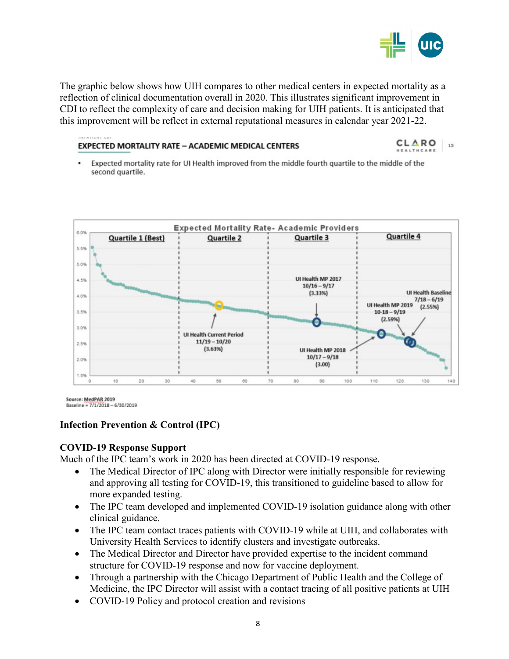

The graphic below shows how UIH compares to other medical centers in expected mortality as a reflection of clinical documentation overall in 2020. This illustrates significant improvement in CDI to reflect the complexity of care and decision making for UIH patients. It is anticipated that this improvement will be reflect in external reputational measures in calendar year 2021-22.

#### **EXPECTED MORTALITY RATE - ACADEMIC MEDICAL CENTERS**

CLARO 15

Expected mortality rate for UI Health improved from the middle fourth quartile to the middle of the . second quartile.



Source: MedPAR 2019 Baseline = 7/1/2018 - 6/30/2019

### **Infection Prevention & Control (IPC)**

#### **COVID-19 Response Support**

Much of the IPC team's work in 2020 has been directed at COVID-19 response.

- The Medical Director of IPC along with Director were initially responsible for reviewing and approving all testing for COVID-19, this transitioned to guideline based to allow for more expanded testing.
- The IPC team developed and implemented COVID-19 isolation guidance along with other clinical guidance.
- The IPC team contact traces patients with COVID-19 while at UIH, and collaborates with University Health Services to identify clusters and investigate outbreaks.
- The Medical Director and Director have provided expertise to the incident command structure for COVID-19 response and now for vaccine deployment.
- Through a partnership with the Chicago Department of Public Health and the College of Medicine, the IPC Director will assist with a contact tracing of all positive patients at UIH
- COVID-19 Policy and protocol creation and revisions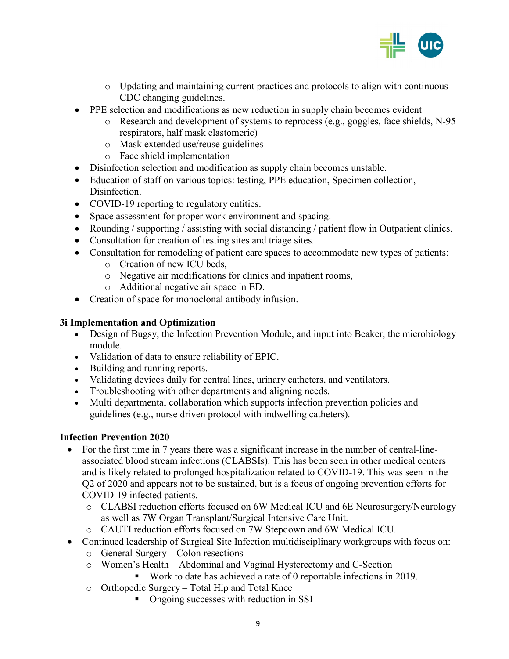

- o Updating and maintaining current practices and protocols to align with continuous CDC changing guidelines.
- PPE selection and modifications as new reduction in supply chain becomes evident
	- o Research and development of systems to reprocess (e.g., goggles, face shields, N-95 respirators, half mask elastomeric)
	- o Mask extended use/reuse guidelines
	- o Face shield implementation
- Disinfection selection and modification as supply chain becomes unstable.
- Education of staff on various topics: testing, PPE education, Specimen collection, Disinfection.
- COVID-19 reporting to regulatory entities.
- Space assessment for proper work environment and spacing.
- Rounding / supporting / assisting with social distancing / patient flow in Outpatient clinics.
- Consultation for creation of testing sites and triage sites.
- Consultation for remodeling of patient care spaces to accommodate new types of patients:
	- o Creation of new ICU beds,
	- o Negative air modifications for clinics and inpatient rooms,
	- o Additional negative air space in ED.
- Creation of space for monoclonal antibody infusion.

### **3i Implementation and Optimization**

- Design of Bugsy, the Infection Prevention Module, and input into Beaker, the microbiology module.
- Validation of data to ensure reliability of EPIC.
- Building and running reports.
- Validating devices daily for central lines, urinary catheters, and ventilators.
- Troubleshooting with other departments and aligning needs.
- Multi departmental collaboration which supports infection prevention policies and guidelines (e.g., nurse driven protocol with indwelling catheters).

### **Infection Prevention 2020**

- For the first time in 7 years there was a significant increase in the number of central-lineassociated blood stream infections (CLABSIs). This has been seen in other medical centers and is likely related to prolonged hospitalization related to COVID-19. This was seen in the Q2 of 2020 and appears not to be sustained, but is a focus of ongoing prevention efforts for COVID-19 infected patients.
	- o CLABSI reduction efforts focused on 6W Medical ICU and 6E Neurosurgery/Neurology as well as 7W Organ Transplant/Surgical Intensive Care Unit.
	- o CAUTI reduction efforts focused on 7W Stepdown and 6W Medical ICU.
- Continued leadership of Surgical Site Infection multidisciplinary workgroups with focus on:
	- o General Surgery Colon resections
	- o Women's Health Abdominal and Vaginal Hysterectomy and C-Section
		- Work to date has achieved a rate of 0 reportable infections in 2019.
	- o Orthopedic Surgery Total Hip and Total Knee
		- Ongoing successes with reduction in SSI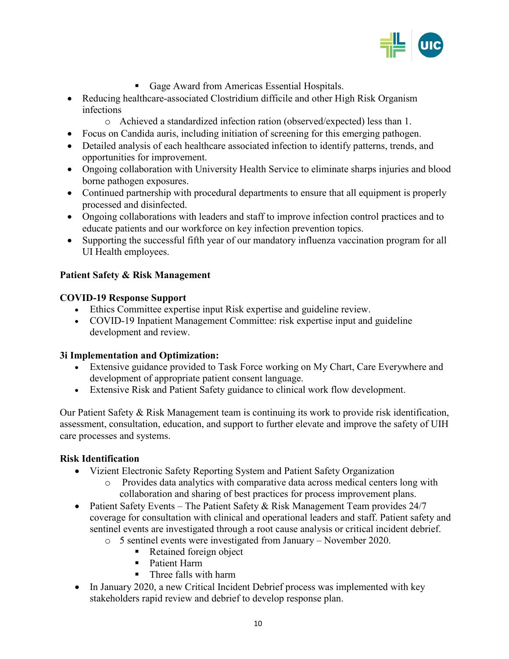

- Gage Award from Americas Essential Hospitals.
- Reducing healthcare-associated Clostridium difficile and other High Risk Organism infections
	- o Achieved a standardized infection ration (observed/expected) less than 1.
- Focus on Candida auris, including initiation of screening for this emerging pathogen.
- Detailed analysis of each healthcare associated infection to identify patterns, trends, and opportunities for improvement.
- Ongoing collaboration with University Health Service to eliminate sharps injuries and blood borne pathogen exposures.
- Continued partnership with procedural departments to ensure that all equipment is properly processed and disinfected.
- Ongoing collaborations with leaders and staff to improve infection control practices and to educate patients and our workforce on key infection prevention topics.
- Supporting the successful fifth year of our mandatory influenza vaccination program for all UI Health employees.

### **Patient Safety & Risk Management**

## **COVID-19 Response Support**

- Ethics Committee expertise input Risk expertise and guideline review.
- COVID-19 Inpatient Management Committee: risk expertise input and guideline development and review.

### **3i Implementation and Optimization:**

- Extensive guidance provided to Task Force working on My Chart, Care Everywhere and development of appropriate patient consent language.
- Extensive Risk and Patient Safety guidance to clinical work flow development.

Our Patient Safety & Risk Management team is continuing its work to provide risk identification, assessment, consultation, education, and support to further elevate and improve the safety of UIH care processes and systems.

### **Risk Identification**

- Vizient Electronic Safety Reporting System and Patient Safety Organization
	- o Provides data analytics with comparative data across medical centers long with collaboration and sharing of best practices for process improvement plans.
- Patient Safety Events The Patient Safety & Risk Management Team provides 24/7 coverage for consultation with clinical and operational leaders and staff. Patient safety and sentinel events are investigated through a root cause analysis or critical incident debrief.
	- o 5 sentinel events were investigated from January November 2020.
		- Retained foreign object
		- **Patient Harm**
		- Three falls with harm
- In January 2020, a new Critical Incident Debrief process was implemented with key stakeholders rapid review and debrief to develop response plan.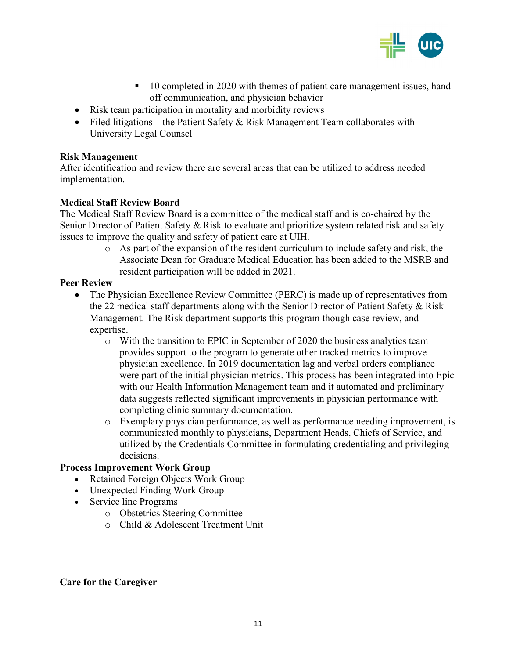

- 10 completed in 2020 with themes of patient care management issues, handoff communication, and physician behavior
- Risk team participation in mortality and morbidity reviews
- Filed litigations the Patient Safety & Risk Management Team collaborates with University Legal Counsel

#### **Risk Management**

After identification and review there are several areas that can be utilized to address needed implementation.

### **Medical Staff Review Board**

The Medical Staff Review Board is a committee of the medical staff and is co-chaired by the Senior Director of Patient Safety & Risk to evaluate and prioritize system related risk and safety issues to improve the quality and safety of patient care at UIH.

> o As part of the expansion of the resident curriculum to include safety and risk, the Associate Dean for Graduate Medical Education has been added to the MSRB and resident participation will be added in 2021.

### **Peer Review**

- The Physician Excellence Review Committee (PERC) is made up of representatives from the 22 medical staff departments along with the Senior Director of Patient Safety & Risk Management. The Risk department supports this program though case review, and expertise.
	- $\circ$  With the transition to EPIC in September of 2020 the business analytics team provides support to the program to generate other tracked metrics to improve physician excellence. In 2019 documentation lag and verbal orders compliance were part of the initial physician metrics. This process has been integrated into Epic with our Health Information Management team and it automated and preliminary data suggests reflected significant improvements in physician performance with completing clinic summary documentation.
	- o Exemplary physician performance, as well as performance needing improvement, is communicated monthly to physicians, Department Heads, Chiefs of Service, and utilized by the Credentials Committee in formulating credentialing and privileging decisions.

#### **Process Improvement Work Group**

- Retained Foreign Objects Work Group
- Unexpected Finding Work Group
- Service line Programs
	- o Obstetrics Steering Committee
	- o Child & Adolescent Treatment Unit

#### **Care for the Caregiver**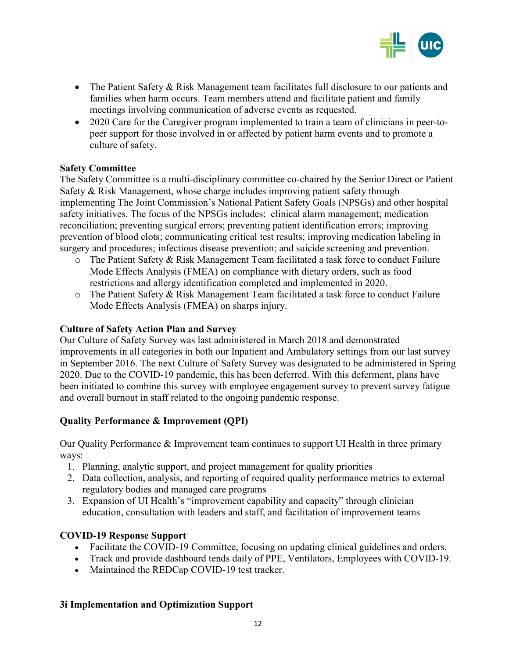

- The Patient Safety & Risk Management team facilitates full disclosure to our patients and families when harm occurs. Team members attend and facilitate patient and family meetings involving communication of adverse events as requested.
- 2020 Care for the Caregiver program implemented to train a team of clinicians in peer-topeer support for those involved in or affected by patient harm events and to promote a culture of safety.

### **Safety Committee**

The Safety Committee is a multi-disciplinary committee co-chaired by the Senior Direct or Patient Safety & Risk Management, whose charge includes improving patient safety through implementing The Joint Commission's National Patient Safety Goals (NPSGs) and other hospital safety initiatives. The focus of the NPSGs includes: clinical alarm management; medication reconciliation; preventing surgical errors; preventing patient identification errors; improving prevention of blood clots; communicating critical test results; improving medication labeling in surgery and procedures; infectious disease prevention; and suicide screening and prevention.

- $\circ$  The Patient Safety & Risk Management Team facilitated a task force to conduct Failure Mode Effects Analysis (FMEA) on compliance with dietary orders, such as food restrictions and allergy identification completed and implemented in 2020.
- o The Patient Safety & Risk Management Team facilitated a task force to conduct Failure Mode Effects Analysis (FMEA) on sharps injury.

#### **Culture of Safety Action Plan and Survey**

Our Culture of Safety Survey was last administered in March 2018 and demonstrated improvements in all categories in both our Inpatient and Ambulatory settings from our last survey in September 2016. The next Culture of Safety Survey was designated to be administered in Spring 2020. Due to the COVID-19 pandemic, this has been deferred. With this deferment, plans have been initiated to combine this survey with employee engagement survey to prevent survey fatigue and overall burnout in staff related to the ongoing pandemic response.

### **Quality Performance & Improvement (QPI)**

Our Quality Performance & Improvement team continues to support UI Health in three primary ways:

- 1. Planning, analytic support, and project management for quality priorities
- 2. Data collection, analysis, and reporting of required quality performance metrics to external regulatory bodies and managed care programs
- 3. Expansion of UI Health's "improvement capability and capacity" through clinician education, consultation with leaders and staff, and facilitation of improvement teams

### **COVID-19 Response Support**

- Facilitate the COVID-19 Committee, focusing on updating clinical guidelines and orders.
- Track and provide dashboard tends daily of PPE, Ventilators, Employees with COVID-19.
- Maintained the REDCap COVID-19 test tracker.

#### **3i Implementation and Optimization Support**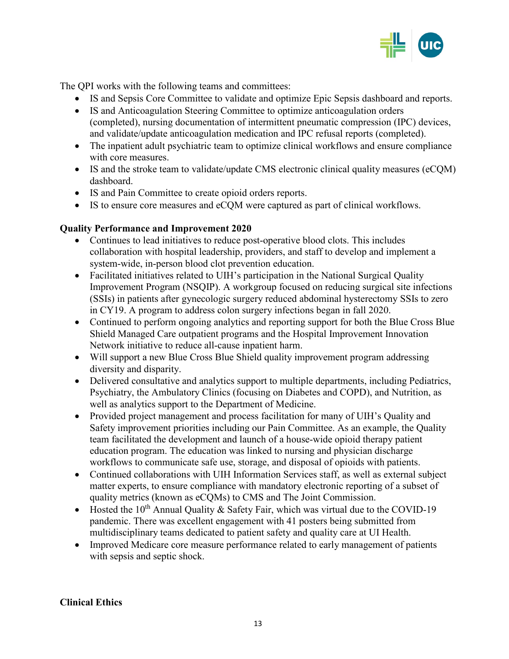

The QPI works with the following teams and committees:

- IS and Sepsis Core Committee to validate and optimize Epic Sepsis dashboard and reports.
- IS and Anticoagulation Steering Committee to optimize anticoagulation orders (completed), nursing documentation of intermittent pneumatic compression (IPC) devices, and validate/update anticoagulation medication and IPC refusal reports (completed).
- The inpatient adult psychiatric team to optimize clinical workflows and ensure compliance with core measures.
- IS and the stroke team to validate/update CMS electronic clinical quality measures (eCQM) dashboard.
- IS and Pain Committee to create opioid orders reports.
- IS to ensure core measures and eCQM were captured as part of clinical workflows.

### **Quality Performance and Improvement 2020**

- Continues to lead initiatives to reduce post-operative blood clots. This includes collaboration with hospital leadership, providers, and staff to develop and implement a system-wide, in-person blood clot prevention education.
- Facilitated initiatives related to UIH's participation in the National Surgical Quality Improvement Program (NSQIP). A workgroup focused on reducing surgical site infections (SSIs) in patients after gynecologic surgery reduced abdominal hysterectomy SSIs to zero in CY19. A program to address colon surgery infections began in fall 2020.
- Continued to perform ongoing analytics and reporting support for both the Blue Cross Blue Shield Managed Care outpatient programs and the Hospital Improvement Innovation Network initiative to reduce all-cause inpatient harm.
- Will support a new Blue Cross Blue Shield quality improvement program addressing diversity and disparity.
- Delivered consultative and analytics support to multiple departments, including Pediatrics, Psychiatry, the Ambulatory Clinics (focusing on Diabetes and COPD), and Nutrition, as well as analytics support to the Department of Medicine.
- Provided project management and process facilitation for many of UIH's Quality and Safety improvement priorities including our Pain Committee. As an example, the Quality team facilitated the development and launch of a house-wide opioid therapy patient education program. The education was linked to nursing and physician discharge workflows to communicate safe use, storage, and disposal of opioids with patients.
- Continued collaborations with UIH Information Services staff, as well as external subject matter experts, to ensure compliance with mandatory electronic reporting of a subset of quality metrics (known as eCQMs) to CMS and The Joint Commission.
- Hosted the  $10^{th}$  Annual Quality & Safety Fair, which was virtual due to the COVID-19 pandemic. There was excellent engagement with 41 posters being submitted from multidisciplinary teams dedicated to patient safety and quality care at UI Health.
- Improved Medicare core measure performance related to early management of patients with sepsis and septic shock.

#### **Clinical Ethics**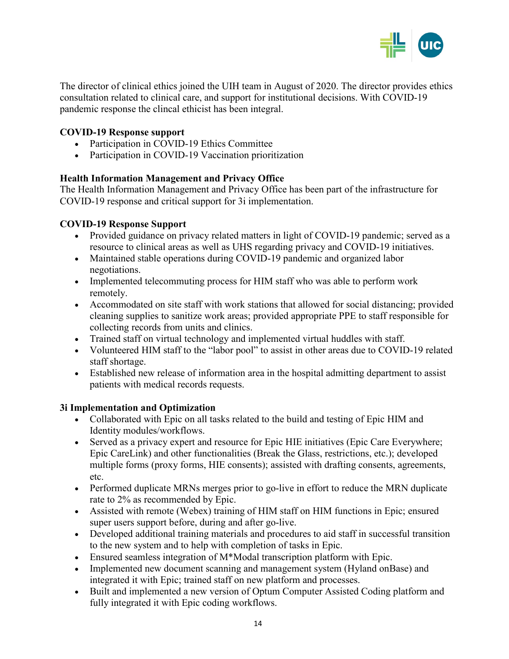

The director of clinical ethics joined the UIH team in August of 2020. The director provides ethics consultation related to clinical care, and support for institutional decisions. With COVID-19 pandemic response the clincal ethicist has been integral.

### **COVID-19 Response support**

- Participation in COVID-19 Ethics Committee
- Participation in COVID-19 Vaccination prioritization

### **Health Information Management and Privacy Office**

The Health Information Management and Privacy Office has been part of the infrastructure for COVID-19 response and critical support for 3i implementation.

### **COVID-19 Response Support**

- Provided guidance on privacy related matters in light of COVID-19 pandemic; served as a resource to clinical areas as well as UHS regarding privacy and COVID-19 initiatives.
- Maintained stable operations during COVID-19 pandemic and organized labor negotiations.
- Implemented telecommuting process for HIM staff who was able to perform work remotely.
- Accommodated on site staff with work stations that allowed for social distancing; provided cleaning supplies to sanitize work areas; provided appropriate PPE to staff responsible for collecting records from units and clinics.
- Trained staff on virtual technology and implemented virtual huddles with staff.
- Volunteered HIM staff to the "labor pool" to assist in other areas due to COVID-19 related staff shortage.
- Established new release of information area in the hospital admitting department to assist patients with medical records requests.

#### **3i Implementation and Optimization**

- Collaborated with Epic on all tasks related to the build and testing of Epic HIM and Identity modules/workflows.
- Served as a privacy expert and resource for Epic HIE initiatives (Epic Care Everywhere; Epic CareLink) and other functionalities (Break the Glass, restrictions, etc.); developed multiple forms (proxy forms, HIE consents); assisted with drafting consents, agreements, etc.
- Performed duplicate MRNs merges prior to go-live in effort to reduce the MRN duplicate rate to 2% as recommended by Epic.
- Assisted with remote (Webex) training of HIM staff on HIM functions in Epic; ensured super users support before, during and after go-live.
- Developed additional training materials and procedures to aid staff in successful transition to the new system and to help with completion of tasks in Epic.
- Ensured seamless integration of M\*Modal transcription platform with Epic.
- Implemented new document scanning and management system (Hyland onBase) and integrated it with Epic; trained staff on new platform and processes.
- Built and implemented a new version of Optum Computer Assisted Coding platform and fully integrated it with Epic coding workflows.